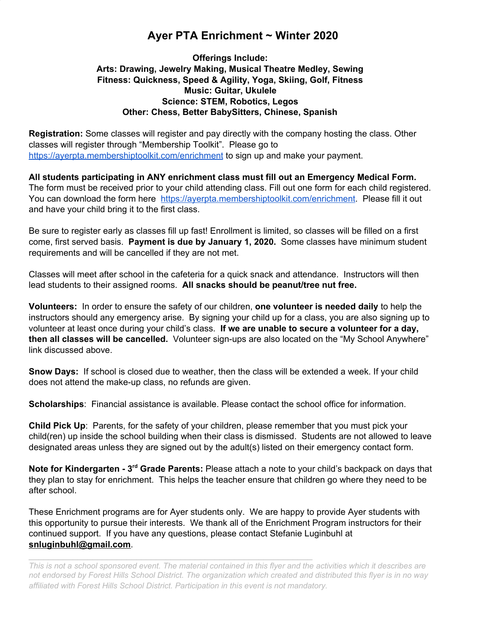# **Ayer PTA Enrichment ~ Winter 2020**

# **Offerings Include: Arts: Drawing, Jewelry Making, Musical Theatre Medley, Sewing Fitness: Quickness, Speed & Agility, Yoga, Skiing, Golf, Fitness Music: Guitar, Ukulele Science: STEM, Robotics, Legos Other: Chess, Better BabySitters, Chinese, Spanish**

**Registration:** Some classes will register and pay directly with the company hosting the class. Other classes will register through "Membership Toolkit". Please go to https://ayerpta.membershiptoolkit.com/enrichment to sign up and make your payment.

**All students participating in ANY enrichment class must fill out an Emergency Medical Form.** The form must be received prior to your child attending class. Fill out one form for each child registered. You can download the form here https://ayerpta.membershiptoolkit.com/enrichment. Please fill it out and have your child bring it to the first class.

Be sure to register early as classes fill up fast! Enrollment is limited, so classes will be filled on a first come, first served basis. **Payment is due by January 1, 2020.** Some classes have minimum student requirements and will be cancelled if they are not met.

Classes will meet after school in the cafeteria for a quick snack and attendance. Instructors will then lead students to their assigned rooms. **All snacks should be peanut/tree nut free.**

**Volunteers:** In order to ensure the safety of our children, **one volunteer is needed daily** to help the instructors should any emergency arise. By signing your child up for a class, you are also signing up to volunteer at least once during your child's class. **If we are unable to secure a volunteer for a day, then all classes will be cancelled.** Volunteer sign-ups are also located on the "My School Anywhere" link discussed above.

**Snow Days:** If school is closed due to weather, then the class will be extended a week. If your child does not attend the make-up class, no refunds are given.

**Scholarships**: Financial assistance is available. Please contact the school office for information.

**Child Pick Up**: Parents, for the safety of your children, please remember that you must pick your child(ren) up inside the school building when their class is dismissed. Students are not allowed to leave designated areas unless they are signed out by the adult(s) listed on their emergency contact form.

**Note for Kindergarten - 3rd Grade Parents:** Please attach a note to your child's backpack on days that they plan to stay for enrichment. This helps the teacher ensure that children go where they need to be after school.

These Enrichment programs are for Ayer students only. We are happy to provide Ayer students with this opportunity to pursue their interests. We thank all of the Enrichment Program instructors for their continued support. If you have any questions, please contact Stefanie Luginbuhl at **snluginbuhl@gmail.com**.

 $\mathcal{L}_\text{max} = \mathcal{L}_\text{max} = \mathcal{L}_\text{max} = \mathcal{L}_\text{max} = \mathcal{L}_\text{max} = \mathcal{L}_\text{max} = \mathcal{L}_\text{max} = \mathcal{L}_\text{max} = \mathcal{L}_\text{max} = \mathcal{L}_\text{max} = \mathcal{L}_\text{max} = \mathcal{L}_\text{max} = \mathcal{L}_\text{max} = \mathcal{L}_\text{max} = \mathcal{L}_\text{max} = \mathcal{L}_\text{max} = \mathcal{L}_\text{max} = \mathcal{L}_\text{max} = \mathcal{$ 

This is not a school sponsored event. The material contained in this flyer and the activities which it describes are not endorsed by Forest Hills School District. The organization which created and distributed this flyer is in no way *affiliated with Forest Hills School District. Participation in this event is not mandatory.*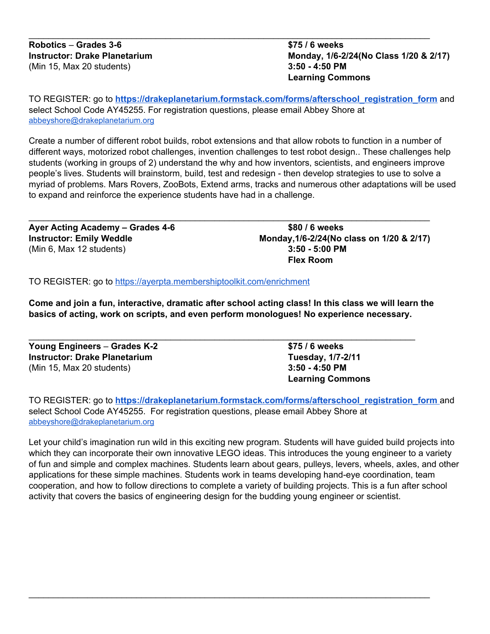# **Instructor: Drake Planetarium Monday, 1/6-2/24(No Class 1/20 & 2/17) Learning Commons**

TO REGISTER: go to **https://drakeplanetarium.formstack.com/forms/afterschool\_registration\_form** and select School Code AY45255. For registration questions, please email Abbey Shore at abbeyshore@drakeplanetarium.org

\_\_\_\_\_\_\_\_\_\_\_\_\_\_\_\_\_\_\_\_\_\_\_\_\_\_\_\_\_\_\_\_\_\_\_\_\_\_\_\_\_\_\_\_\_\_\_\_\_\_\_\_\_\_\_\_\_\_\_\_\_\_\_\_\_\_\_\_\_\_\_\_\_\_\_\_\_\_\_\_\_\_

Create a number of different robot builds, robot extensions and that allow robots to function in a number of different ways, motorized robot challenges, invention challenges to test robot design.. These challenges help students (working in groups of 2) understand the why and how inventors, scientists, and engineers improve people's lives. Students will brainstorm, build, test and redesign - then develop strategies to use to solve a myriad of problems. Mars Rovers, ZooBots, Extend arms, tracks and numerous other adaptations will be used to expand and reinforce the experience students have had in a challenge.

**Ayer Acting Academy – Grades 4-6 \$80 / 6 weeks** (Min 6, Max 12 students) **3:50 - 5:00 PM**

**Instructor: Emily Weddle Monday,1/6-2/24(No class on 1/20 & 2/17) Flex Room**

TO REGISTER: go to https://ayerpta.membershiptoolkit.com/enrichment

Come and join a fun, interactive, dramatic after school acting class! In this class we will learn the **basics of acting, work on scripts, and even perform monologues! No experience necessary.**

\_\_\_\_\_\_\_\_\_\_\_\_\_\_\_\_\_\_\_\_\_\_\_\_\_\_\_\_\_\_\_\_\_\_\_\_\_\_\_\_\_\_\_\_\_\_\_\_\_\_\_\_\_\_\_\_\_\_\_\_\_\_\_\_\_\_\_\_\_\_\_\_\_\_\_\_\_\_\_\_\_\_

| Young Engineers - Grades K-2         | \$75 / 6 weeks          |
|--------------------------------------|-------------------------|
| <b>Instructor: Drake Planetarium</b> | Tuesday, 1/7-2/11       |
| (Min 15, Max 20 students)            | $3:50 - 4:50$ PM        |
|                                      | <b>Learning Commons</b> |

TO REGISTER: go to **https://drakeplanetarium.formstack.com/forms/afterschool\_registration\_form** and select School Code AY45255. For registration questions, please email Abbey Shore at abbeyshore@drakeplanetarium.org

Let your child's imagination run wild in this exciting new program. Students will have guided build projects into which they can incorporate their own innovative LEGO ideas. This introduces the young engineer to a variety of fun and simple and complex machines. Students learn about gears, pulleys, levers, wheels, axles, and other applications for these simple machines. Students work in teams developing hand-eye coordination, team cooperation, and how to follow directions to complete a variety of building projects. This is a fun after school activity that covers the basics of engineering design for the budding young engineer or scientist.

\_\_\_\_\_\_\_\_\_\_\_\_\_\_\_\_\_\_\_\_\_\_\_\_\_\_\_\_\_\_\_\_\_\_\_\_\_\_\_\_\_\_\_\_\_\_\_\_\_\_\_\_\_\_\_\_\_\_\_\_\_\_\_\_\_\_\_\_\_\_\_\_\_\_\_\_\_\_\_\_\_\_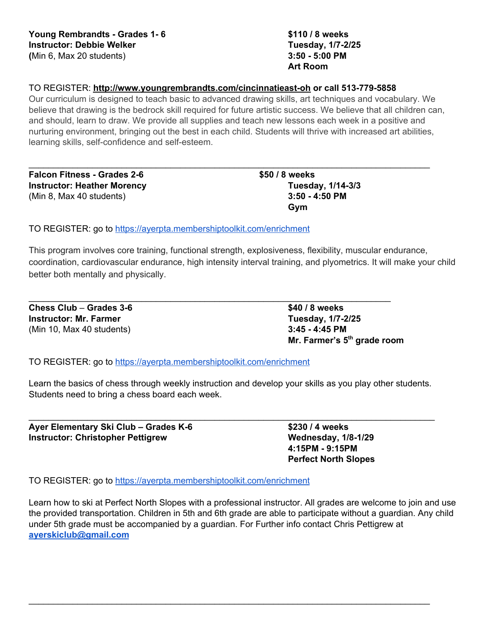**Art Room**

# TO REGISTER: **http://www.youngrembrandts.com/cincinnatieast-oh or call 513-779-5858**

Our curriculum is designed to teach basic to advanced drawing skills, art techniques and vocabulary. We believe that drawing is the bedrock skill required for future artistic success. We believe that all children can, and should, learn to draw. We provide all supplies and teach new lessons each week in a positive and nurturing environment, bringing out the best in each child. Students will thrive with increased art abilities, learning skills, self-confidence and self-esteem.

\_\_\_\_\_\_\_\_\_\_\_\_\_\_\_\_\_\_\_\_\_\_\_\_\_\_\_\_\_\_\_\_\_\_\_\_\_\_\_\_\_\_\_\_\_\_\_\_\_\_\_\_\_\_\_\_\_\_\_\_\_\_\_\_\_\_\_\_\_\_\_\_\_\_\_\_\_\_\_\_\_\_

**Falcon Fitness - Grades 2-6 \$50 / 8 weeks Instructor: Heather Morency Tuesday, 1/14-3/3** (Min 8, Max 40 students) **3:50 - 4:50 PM**

**Gym**

TO REGISTER: go to https://ayerpta.membershiptoolkit.com/enrichment

This program involves core training, functional strength, explosiveness, flexibility, muscular endurance, coordination, cardiovascular endurance, high intensity interval training, and plyometrics. It will make your child better both mentally and physically.

**Chess Club** – **Grades 3-6 \$40 / 8 weeks Instructor: Mr. Farmer Tuesday, 1/7-2/25** (Min 10, Max 40 students) **3:45 - 4:45 PM**

**Mr. Farmer's 5th grade room**

TO REGISTER: go to https://ayerpta.membershiptoolkit.com/enrichment

Learn the basics of chess through weekly instruction and develop your skills as you play other students. Students need to bring a chess board each week.

\_\_\_\_\_\_\_\_\_\_\_\_\_\_\_\_\_\_\_\_\_\_\_\_\_\_\_\_\_\_\_\_\_\_\_\_\_\_\_\_\_\_\_\_\_\_\_\_\_\_\_\_\_\_\_\_\_\_\_\_\_\_\_\_\_\_\_\_\_\_\_\_\_\_\_\_\_\_\_\_\_\_\_

\_\_\_\_\_\_\_\_\_\_\_\_\_\_\_\_\_\_\_\_\_\_\_\_\_\_\_\_\_\_\_\_\_\_\_\_\_\_\_\_\_\_\_\_\_\_\_\_\_\_\_\_\_\_\_\_\_\_\_\_\_\_\_\_\_\_\_\_\_\_\_\_\_\_

**Ayer Elementary Ski Club – Grades K-6 \$230 / 4 weeks Instructor: Christopher Pettigrew Wednesday, 1/8-1/29**

**4:15PM - 9:15PM Perfect North Slopes**

TO REGISTER: go to https://ayerpta.membershiptoolkit.com/enrichment

Learn how to ski at Perfect North Slopes with a professional instructor. All grades are welcome to join and use the provided transportation. Children in 5th and 6th grade are able to participate without a guardian. Any child under 5th grade must be accompanied by a guardian. For Further info contact Chris Pettigrew at **ayerskiclub@gmail.com**

\_\_\_\_\_\_\_\_\_\_\_\_\_\_\_\_\_\_\_\_\_\_\_\_\_\_\_\_\_\_\_\_\_\_\_\_\_\_\_\_\_\_\_\_\_\_\_\_\_\_\_\_\_\_\_\_\_\_\_\_\_\_\_\_\_\_\_\_\_\_\_\_\_\_\_\_\_\_\_\_\_\_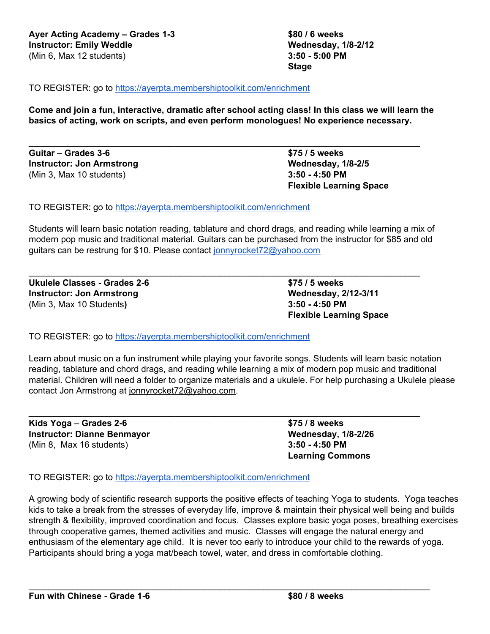TO REGISTER: go to https://ayerpta.membershiptoolkit.com/enrichment

Come and join a fun, interactive, dramatic after school acting class! In this class we will learn the **basics of acting, work on scripts, and even perform monologues! No experience necessary.**

\_\_\_\_\_\_\_\_\_\_\_\_\_\_\_\_\_\_\_\_\_\_\_\_\_\_\_\_\_\_\_\_\_\_\_\_\_\_\_\_\_\_\_\_\_\_\_\_\_\_\_\_\_\_\_\_\_\_\_\_\_\_\_\_\_\_\_\_\_\_\_\_\_\_\_\_\_\_\_\_

**Guitar – Grades 3-6 \$75 / 5 weeks Instructor: Jon Armstrong Wednesday, 1/8-2/5** (Min 3, Max 10 students) **3:50 - 4:50 PM**

TO REGISTER: go to https://ayerpta.membershiptoolkit.com/enrichment

Students will learn basic notation reading, tablature and chord drags, and reading while learning a mix of modern pop music and traditional material. Guitars can be purchased from the instructor for \$85 and old guitars can be restrung for \$10. Please contact jonnyrocket72@yahoo.com

\_\_\_\_\_\_\_\_\_\_\_\_\_\_\_\_\_\_\_\_\_\_\_\_\_\_\_\_\_\_\_\_\_\_\_\_\_\_\_\_\_\_\_\_\_\_\_\_\_\_\_\_\_\_\_\_\_\_\_\_\_\_\_\_\_\_\_\_\_\_\_\_\_\_\_\_\_\_\_\_

**Ukulele Classes - Grades 2-6 \$75 / 5 weeks Instructor: Jon Armstrong Wednesday, 2/12-3/11** (Min 3, Max 10 Students**) 3:50 - 4:50 PM**

**Flexible Learning Space**

**Flexible Learning Space**

TO REGISTER: go to https://ayerpta.membershiptoolkit.com/enrichment

Learn about music on a fun instrument while playing your favorite songs. Students will learn basic notation reading, tablature and chord drags, and reading while learning a mix of modern pop music and traditional material. Children will need a folder to organize materials and a ukulele. For help purchasing a Ukulele please contact Jon Armstrong at jonnyrocket72@yahoo.com.

\_\_\_\_\_\_\_\_\_\_\_\_\_\_\_\_\_\_\_\_\_\_\_\_\_\_\_\_\_\_\_\_\_\_\_\_\_\_\_\_\_\_\_\_\_\_\_\_\_\_\_\_\_\_\_\_\_\_\_\_\_\_\_\_\_\_\_\_\_\_\_\_\_\_\_\_\_\_\_\_

**Kids Yoga** – **Grades 2-6 \$75 / 8 weeks Instructor: Dianne Benmayor Wednesday, 1/8-2/26** (Min 8, Max 16 students) **3:50 - 4:50 PM**

**Learning Commons**

TO REGISTER: go to https://ayerpta.membershiptoolkit.com/enrichment

A growing body of scientific research supports the positive effects of teaching Yoga to students. Yoga teaches kids to take a break from the stresses of everyday life, improve & maintain their physical well being and builds strength & flexibility, improved coordination and focus. Classes explore basic yoga poses, breathing exercises through cooperative games, themed activities and music. Classes will engage the natural energy and enthusiasm of the elementary age child. It is never too early to introduce your child to the rewards of yoga. Participants should bring a yoga mat/beach towel, water, and dress in comfortable clothing.

\_\_\_\_\_\_\_\_\_\_\_\_\_\_\_\_\_\_\_\_\_\_\_\_\_\_\_\_\_\_\_\_\_\_\_\_\_\_\_\_\_\_\_\_\_\_\_\_\_\_\_\_\_\_\_\_\_\_\_\_\_\_\_\_\_\_\_\_\_\_\_\_\_\_\_\_\_\_\_\_\_\_

**Stage**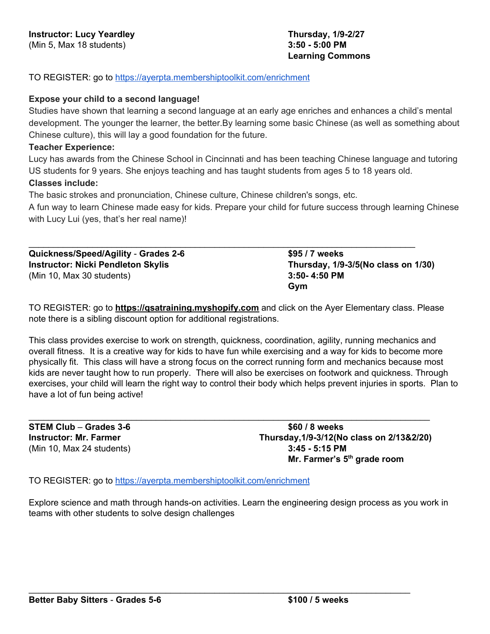TO REGISTER: go to https://ayerpta.membershiptoolkit.com/enrichment

# **Expose your child to a second language!**

Studies have shown that learning a second language at an early age enriches and enhances a child's mental development. The younger the learner, the better.By learning some basic Chinese (as well as something about Chinese culture), this will lay a good foundation for the future.

# **Teacher Experience:**

Lucy has awards from the Chinese School in Cincinnati and has been teaching Chinese language and tutoring US students for 9 years. She enjoys teaching and has taught students from ages 5 to 18 years old. **Classes include:**

The basic strokes and pronunciation, Chinese culture, Chinese children's songs, etc.

A fun way to learn Chinese made easy for kids. Prepare your child for future success through learning Chinese with Lucy Lui (yes, that's her real name)!

\_\_\_\_\_\_\_\_\_\_\_\_\_\_\_\_\_\_\_\_\_\_\_\_\_\_\_\_\_\_\_\_\_\_\_\_\_\_\_\_\_\_\_\_\_\_\_\_\_\_\_\_\_\_\_\_\_\_\_\_\_\_\_\_\_\_\_\_\_\_\_\_\_\_\_\_\_\_\_

**Quickness/Speed/Agility** - **Grades 2-6 \$95 / 7 weeks Instructor: Nicki Pendleton Skylis Thursday, 1/9-3/5(No class on 1/30)** (Min 10, Max 30 students) **3:50- 4:50 PM**

**Gym**

TO REGISTER: go to **https://qsatraining.myshopify.com** and click on the Ayer Elementary class. Please note there is a sibling discount option for additional registrations.

This class provides exercise to work on strength, quickness, coordination, agility, running mechanics and overall fitness. It is a creative way for kids to have fun while exercising and a way for kids to become more physically fit. This class will have a strong focus on the correct running form and mechanics because most kids are never taught how to run properly. There will also be exercises on footwork and quickness. Through exercises, your child will learn the right way to control their body which helps prevent injuries in sports. Plan to have a lot of fun being active!

\_\_\_\_\_\_\_\_\_\_\_\_\_\_\_\_\_\_\_\_\_\_\_\_\_\_\_\_\_\_\_\_\_\_\_\_\_\_\_\_\_\_\_\_\_\_\_\_\_\_\_\_\_\_\_\_\_\_\_\_\_\_\_\_\_\_\_\_\_\_\_\_\_\_\_\_\_\_\_\_\_\_

**STEM Club** – **Grades 3-6 \$60 / 8 weeks** (Min 10, Max 24 students) **3:45 - 5:15 PM**

**Instructor: Mr. Farmer Thursday,1/9-3/12(No class on 2/13&2/20) Mr. Farmer's 5th grade room**

TO REGISTER: go to https://ayerpta.membershiptoolkit.com/enrichment

Explore science and math through hands-on activities. Learn the engineering design process as you work in teams with other students to solve design challenges

\_\_\_\_\_\_\_\_\_\_\_\_\_\_\_\_\_\_\_\_\_\_\_\_\_\_\_\_\_\_\_\_\_\_\_\_\_\_\_\_\_\_\_\_\_\_\_\_\_\_\_\_\_\_\_\_\_\_\_\_\_\_\_\_\_\_\_\_\_\_\_\_\_\_\_\_\_\_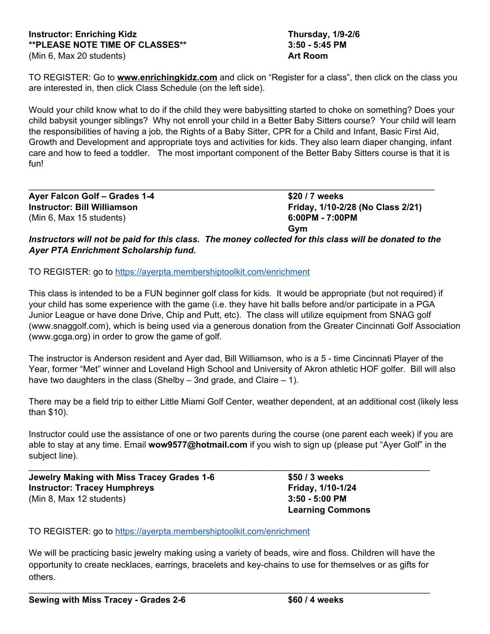TO REGISTER: Go to **www.enrichingkidz.com** and click on "Register for a class", then click on the class you are interested in, then click Class Schedule (on the left side).

Would your child know what to do if the child they were babysitting started to choke on something? Does your child babysit younger siblings? Why not enroll your child in a Better Baby Sitters course? Your child will learn the responsibilities of having a job, the Rights of a Baby Sitter, CPR for a Child and Infant, Basic First Aid, Growth and Development and appropriate toys and activities for kids. They also learn diaper changing, infant care and how to feed a toddler. The most important component of the Better Baby Sitters course is that it is fun!

**Ayer Falcon Golf – Grades 1-4 \$20 / 7 weeks** (Min 6, Max 15 students) **6:00PM - 7:00PM**

**Instructor:** Bill Williamson **Friday,** 1/10-2/28 (No Class 2/21) **Gym**

Instructors will not be paid for this class. The money collected for this class will be donated to the *Ayer PTA Enrichment Scholarship fund.*

\_\_\_\_\_\_\_\_\_\_\_\_\_\_\_\_\_\_\_\_\_\_\_\_\_\_\_\_\_\_\_\_\_\_\_\_\_\_\_\_\_\_\_\_\_\_\_\_\_\_\_\_\_\_\_\_\_\_\_\_\_\_\_\_\_\_\_\_\_\_\_\_\_\_\_\_\_\_\_\_\_\_\_

TO REGISTER: go to https://ayerpta.membershiptoolkit.com/enrichment

This class is intended to be a FUN beginner golf class for kids. It would be appropriate (but not required) if your child has some experience with the game (i.e. they have hit balls before and/or participate in a PGA Junior League or have done Drive, Chip and Putt, etc). The class will utilize equipment from SNAG golf (www.snaggolf.com), which is being used via a generous donation from the Greater Cincinnati Golf Association (www.gcga.org) in order to grow the game of golf.

The instructor is Anderson resident and Ayer dad, Bill Williamson, who is a 5 - time Cincinnati Player of the Year, former "Met" winner and Loveland High School and University of Akron athletic HOF golfer. Bill will also have two daughters in the class (Shelby – 3nd grade, and Claire – 1).

There may be a field trip to either Little Miami Golf Center, weather dependent, at an additional cost (likely less than \$10).

Instructor could use the assistance of one or two parents during the course (one parent each week) if you are able to stay at any time. Email **wow9577@hotmail.com** if you wish to sign up (please put "Ayer Golf" in the subject line).

\_\_\_\_\_\_\_\_\_\_\_\_\_\_\_\_\_\_\_\_\_\_\_\_\_\_\_\_\_\_\_\_\_\_\_\_\_\_\_\_\_\_\_\_\_\_\_\_\_\_\_\_\_\_\_\_\_\_\_\_\_\_\_\_\_\_\_\_\_\_\_\_\_\_\_\_\_\_\_\_\_\_

**Jewelry Making with Miss Tracey Grades 1-6 \$50 / 3 weeks Instructor: Tracey Humphreys Friday, 1/10-1/24** (Min 8, Max 12 students) **3:50 - 5:00 PM**

**Learning Commons**

TO REGISTER: go to https://ayerpta.membershiptoolkit.com/enrichment

We will be practicing basic jewelry making using a variety of beads, wire and floss. Children will have the opportunity to create necklaces, earrings, bracelets and key-chains to use for themselves or as gifts for others.

\_\_\_\_\_\_\_\_\_\_\_\_\_\_\_\_\_\_\_\_\_\_\_\_\_\_\_\_\_\_\_\_\_\_\_\_\_\_\_\_\_\_\_\_\_\_\_\_\_\_\_\_\_\_\_\_\_\_\_\_\_\_\_\_\_\_\_\_\_\_\_\_\_\_\_\_\_\_\_\_\_\_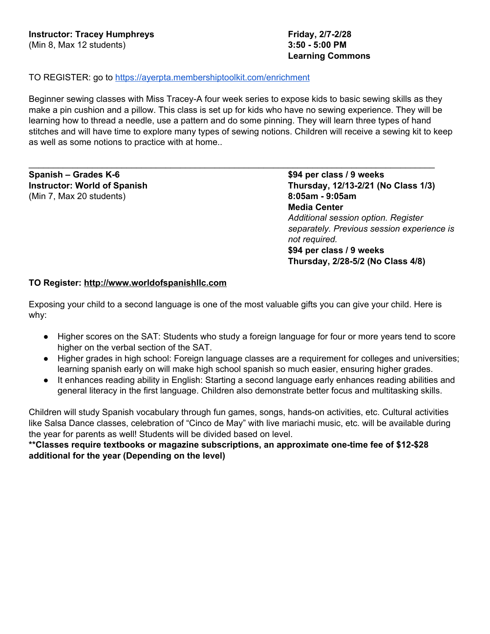# **Learning Commons**

# TO REGISTER: go to https://ayerpta.membershiptoolkit.com/enrichment

Beginner sewing classes with Miss Tracey-A four week series to expose kids to basic sewing skills as they make a pin cushion and a pillow. This class is set up for kids who have no sewing experience. They will be learning how to thread a needle, use a pattern and do some pinning. They will learn three types of hand stitches and will have time to explore many types of sewing notions. Children will receive a sewing kit to keep as well as some notions to practice with at home..

\_\_\_\_\_\_\_\_\_\_\_\_\_\_\_\_\_\_\_\_\_\_\_\_\_\_\_\_\_\_\_\_\_\_\_\_\_\_\_\_\_\_\_\_\_\_\_\_\_\_\_\_\_\_\_\_\_\_\_\_\_\_\_\_\_\_\_\_\_\_\_\_\_\_\_\_\_\_\_\_\_\_\_

**Spanish – Grades K-6 \$94 per class / 9 weeks** (Min 7, Max 20 students) **8:05am - 9:05am**

**Instructor: World of Spanish Thursday, 12/13-2/21 (No Class 1/3) Media Center** *Additional session option. Register separately. Previous session experience is not required.* **\$94 per class / 9 weeks Thursday, 2/28-5/2 (No Class 4/8)**

# **TO Register: http://www.worldofspanishllc.com**

Exposing your child to a second language is one of the most valuable gifts you can give your child. Here is why:

- Higher scores on the SAT: Students who study a foreign language for four or more years tend to score higher on the verbal section of the SAT.
- Higher grades in high school: Foreign language classes are a requirement for colleges and universities; learning spanish early on will make high school spanish so much easier, ensuring higher grades.
- It enhances reading ability in English: Starting a second language early enhances reading abilities and general literacy in the first language. Children also demonstrate better focus and multitasking skills.

Children will study Spanish vocabulary through fun games, songs, hands-on activities, etc. Cultural activities like Salsa Dance classes, celebration of "Cinco de May" with live mariachi music, etc. will be available during the year for parents as well! Students will be divided based on level.

**\*\*Classes require textbooks or magazine subscriptions, an approximate one-time fee of \$12-\$28 additional for the year (Depending on the level)**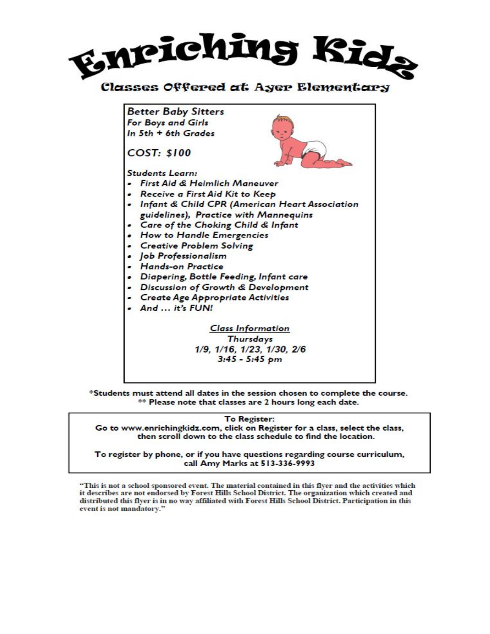

# Classes Offered at Ayer Elementary

**Better Baby Sitters** For Boys and Girls In 5th + 6th Grades

**COST: \$100** 

**Students Learn:** 

- · First Aid & Heimlich Maneuver
- . Receive a First Aid Kit to Keep
- . Infant & Child CPR (American Heart Association guidelines), Practice with Mannequins
- Care of the Choking Child & Infant
- . How to Handle Emergencies
- Creative Problem Solving
- · Job Professionalism
- Hands-on Practice
- . Diapering, Bottle Feeding, Infant care
- . Discussion of Growth & Development
- Create Age Appropriate Activities
- And ... it's FUN!

**Class Information Thursdays** 1/9, 1/16, 1/23, 1/30, 2/6  $3:45 - 5:45$  pm

\*Students must attend all dates in the session chosen to complete the course. \*\* Please note that classes are 2 hours long each date.

To Register:

Go to www.enrichingkidz.com, click on Register for a class, select the class, then scroll down to the class schedule to find the location.

To register by phone, or if you have questions regarding course curriculum, call Amy Marks at 513-336-9993

"This is not a school sponsored event. The material contained in this flyer and the activities which it describes are not endorsed by Forest Hills School District. The organization which created and distributed this flyer is in no way affiliated with Forest Hills School District. Participation in this event is not mandatory."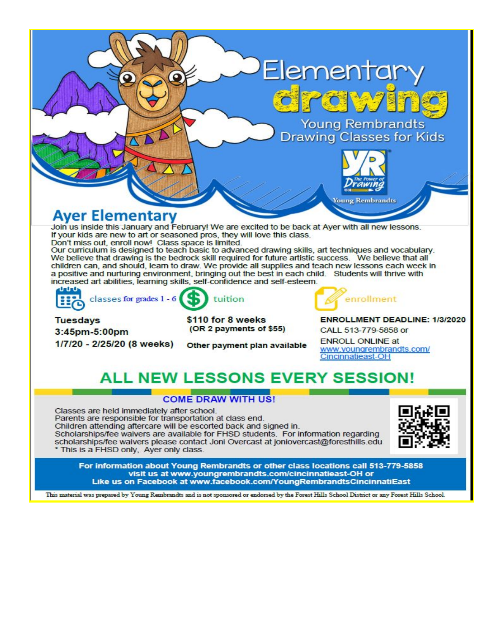

# **ALL NEW LESSONS EVERY SESSION!**

# **COME DRAW WITH US!**

Classes are held immediately after school. Parents are responsible for transportation at class end. Children attending aftercare will be escorted back and signed in. Scholarships/fee waivers are available for FHSD students. For information regarding scholarships/fee waivers please contact Joni Overcast at joniovercast@foresthills.edu \* This is a FHSD only, Ayer only class.



For information about Young Rembrandts or other class locations call 513-779-5858 visit us at www.youngrembrandts.com/cincinnatieast-OH or Like us on Facebook at www.facebook.com/YoungRembrandtsCincinnatiEast

This material was prepared by Young Rembrandts and is not sponsored or endorsed by the Forest Hills School District or any Forest Hills School.